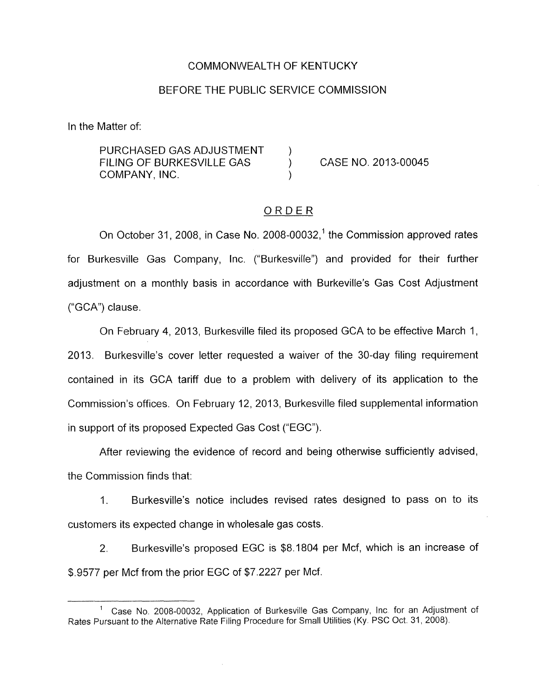#### COMMONWEALTH OF KENTUCKY

#### BEFORE THE PUBLIC SERVICE COMMISSION

<span id="page-0-0"></span>In the Matter of:

PURCHASED GAS ADJUSTMENT FILING OF BURKESVILLE GAS ) CASE **NO.** 2013-00045 COMPANY, INC.

### ORDER

On October 31, 2008, in Case No. 2008-00032,<sup>1</sup> the Commission approved rates for Burkesville Gas Company, Inc. ("Burkesville") and provided for their further adjustment on a monthly basis in accordance with Burkeville's Gas Cost Adjustment ("GCA") clause.

On February 4, 2013, Burkesville filed its proposed GCA to be effective March 1, 2013. Burkesville's cover letter requested a waiver of the 30-day filing requirement contained in its GCA tariff due to a problem with delivery of its application to the Commission's offices. On February 12, 2013, Burkesville filed supplemental information in support of its proposed Expected Gas Cost ("EGC").

After reviewing the evidence of record and being otherwise sufficiently advised, the Commission finds that:

1. Burkesville's notice includes revised rates designed to pass on to its customers its expected change in wholesale gas costs

2. Burkesville's proposed EGC is \$8.1804 per Mcf, which is an increase of \$.9577 per Mcf from the prior EGC of \$7.2227 per Mcf.

Case No. 2008-00032, Application of Burkesville Gas Company, Inc for an Adjustment of **<sup>1</sup>** Rates Pursuant to the Alternative Rate Filing Procedure for Small Utilities (Ky. PSC Oct. 31, 2008).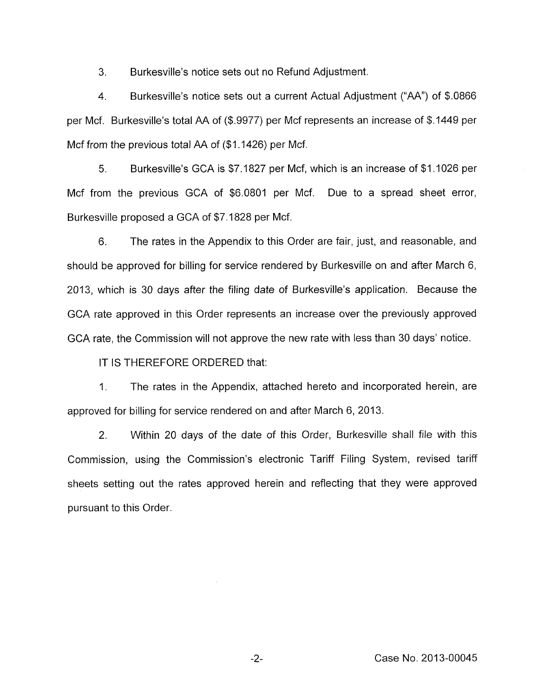3. Burkesville's notice sets out no Refund Adjustment.

4. Burkesville's notice sets out a current Actual Adjustment ("AA") of \$.0866 per Mcf. Burkesville's total AA of (\$.9977) per Mcf represents an increase of \$.I449 per Mcf from the previous total AA of (\$1.1426) per Mcf.

*5.* Burkesville's GCA is \$7.1827 per Mcf, which is an increase of \$1.1026 per Mcf from the previous GCA of \$6.0801 per Mcf. Due to a spread sheet error, Burkesville proposed a GCA of \$7.1828 per Mcf.

6. The rates in the Appendix to this Order are fair, just, and reasonable, and should be approved for billing for service rendered by Burkesville on and after March 6, 2013, which is 30 days after the filing date of Burkesville's application. Because the GCA rate approved in this Order represents an increase over the previously approved GCA rate, the Commission will not approve the new rate with less than 30 days' notice.

IT IS THEREFORE ORDERED that:

1. The rates in the Appendix, attached hereto and incorporated herein, are approved for billing for service rendered on and after March 6, 2013.

2. Within 20 days of the date of this Order, Burkesville shall file with this Commission, using the Commission's electronic Tariff Filing System, revised tariff sheets setting out the rates approved herein and reflecting that they were approved pursuant to this Order.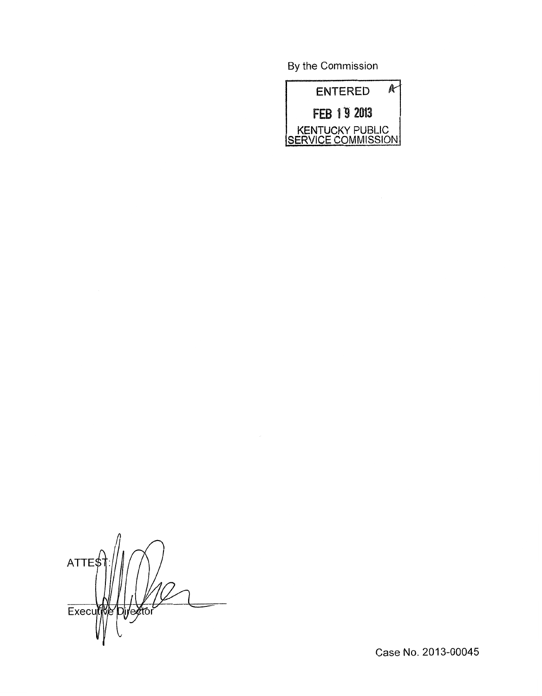By the Commission



 $ATTE$ Executiv Director

Case No. 2013-00045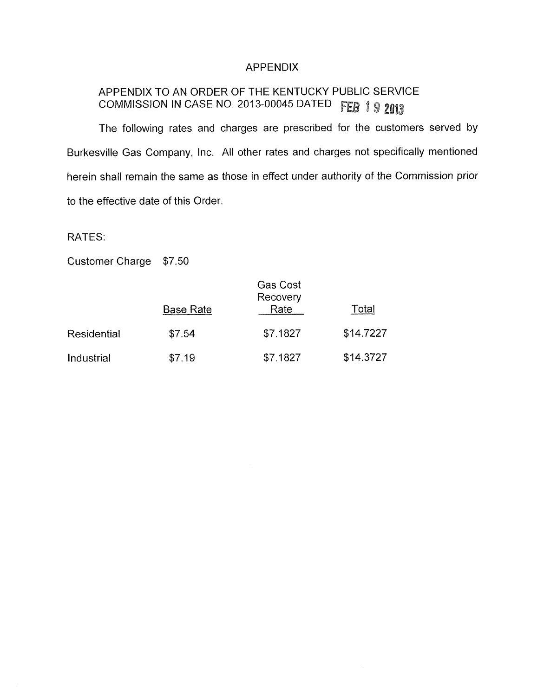## APPENDIX

# APPENDIX TO AN ORDER OF THE KENTUCKY PUBLIC SERVICE COMMISSION IN CASE NO. 2013-00045 DATED FEB 1 9 2013

The following rates and charges are prescribed for the customers served by Burkesville Gas Company, Inc. All other rates and charges not specifically mentioned herein shall remain the same as those in effect under authority of the Commission prior to the effective date of this Order.

RATES:

Customer Charge \$7.50

|             | <b>Base Rate</b> | Gas Cost<br>Recovery<br>Rate | Total     |
|-------------|------------------|------------------------------|-----------|
| Residential | \$7.54           | \$7.1827                     | \$14.7227 |
| Industrial  | \$7.19           | \$7.1827                     | \$14.3727 |